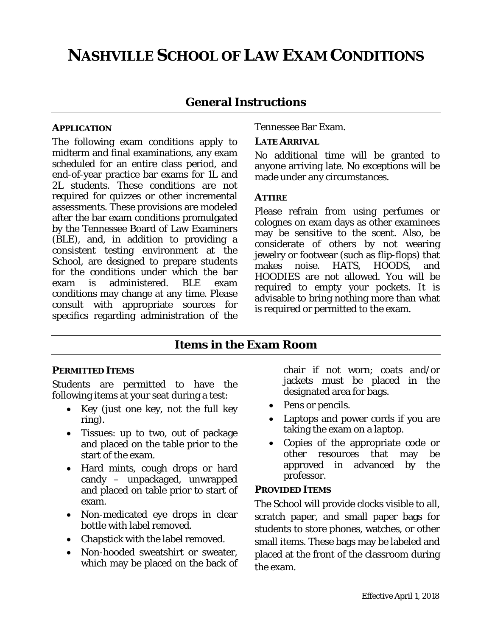# **NASHVILLE SCHOOL OF LAW EXAM CONDITIONS**

### **General Instructions**

### *APPLICATION*

The following exam conditions apply to midterm and final examinations, any exam scheduled for an entire class period, and end-of-year practice bar exams for 1L and 2L students. These conditions are not required for quizzes or other incremental assessments. These provisions are modeled after the bar exam conditions promulgated by the Tennessee Board of Law Examiners (BLE), and, in addition to providing a consistent testing environment at the School, are designed to prepare students for the conditions under which the bar exam is administered. BLE exam conditions may change at any time. Please consult with appropriate sources for specifics regarding administration of the Tennessee Bar Exam.

### *LATE ARRIVAL*

No additional time will be granted to anyone arriving late. No exceptions will be made under any circumstances.

### *ATTIRE*

Please refrain from using perfumes or colognes on exam days as other examinees may be sensitive to the scent. Also, be considerate of others by not wearing jewelry or footwear (such as flip-flops) that makes noise. HATS, HOODS, and HOODIES are not allowed. You will be required to empty your pockets. It is advisable to bring nothing more than what is required or permitted to the exam.

### **Items in the Exam Room**

### *PERMITTED ITEMS*

Students are permitted to have the following items at your seat during a test:

- Key (just one key, not the full key ring).
- Tissues: up to two, out of package and placed on the table prior to the start of the exam.
- Hard mints, cough drops or hard candy – unpackaged, unwrapped and placed on table prior to start of exam.
- Non-medicated eye drops in clear bottle with label removed.
- Chapstick with the label removed.
- Non-hooded sweatshirt or sweater, which may be placed on the back of

chair if not worn; coats and/or jackets must be placed in the designated area for bags.

- Pens or pencils.
- Laptops and power cords if you are taking the exam on a laptop.
- Copies of the appropriate code or other resources that may be approved in advanced by the professor.

### *PROVIDED ITEMS*

The School will provide clocks visible to all, scratch paper, and small paper bags for students to store phones, watches, or other small items. These bags may be labeled and placed at the front of the classroom during the exam.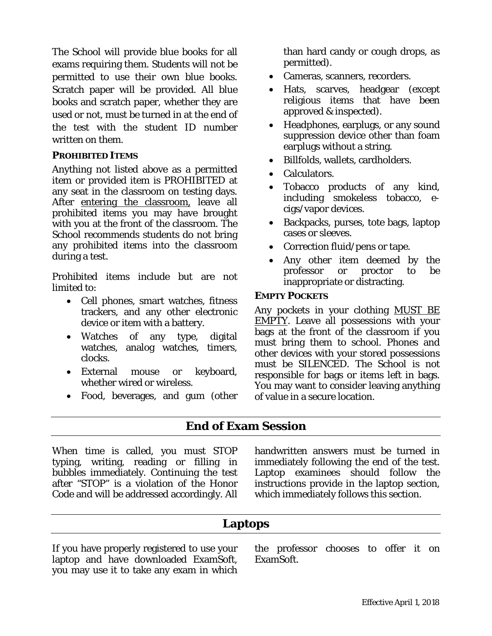The School will provide blue books for all exams requiring them. Students will not be permitted to use their own blue books. Scratch paper will be provided. All blue books and scratch paper, whether they are used or not, must be turned in at the end of the test with the student ID number written on them.

### *PROHIBITED ITEMS*

Anything not listed above as a permitted item or provided item is PROHIBITED at any seat in the classroom on testing days. After entering the classroom, leave all prohibited items you may have brought with you at the front of the classroom. The School recommends students do not bring any prohibited items into the classroom during a test.

Prohibited items include but are not limited to:

- Cell phones, smart watches, fitness trackers, and any other electronic device or item with a battery.
- Watches of any type, digital watches, analog watches, timers, clocks.
- External mouse or keyboard, whether wired or wireless.
- Food, beverages, and gum (other

than hard candy or cough drops, as permitted).

- Cameras, scanners, recorders.
- Hats, scarves, headgear (except religious items that have been approved & inspected).
- Headphones, earplugs, or any sound suppression device other than foam earplugs without a string.
- Billfolds, wallets, cardholders.
- Calculators.
- Tobacco products of any kind, including smokeless tobacco, ecigs/vapor devices.
- Backpacks, purses, tote bags, laptop cases or sleeves.
- Correction fluid/pens or tape.
- Any other item deemed by the professor or proctor to be inappropriate or distracting.

### *EMPTY POCKETS*

Any pockets in your clothing MUST BE  $EMPTY$ . Leave all possessions with your bags at the front of the classroom if you must bring them to school. Phones and other devices with your stored possessions must be SILENCED. The School is not responsible for bags or items left in bags. You may want to consider leaving anything of value in a secure location.

### **End of Exam Session**

When time is called, you must STOP typing, writing, reading or filling in bubbles immediately. Continuing the test after "STOP" is a violation of the Honor Code and will be addressed accordingly. All handwritten answers must be turned in immediately following the end of the test. Laptop examinees should follow the instructions provide in the laptop section, which immediately follows this section.

### **Laptops**

If you have properly registered to use your laptop and have downloaded ExamSoft, you may use it to take any exam in which the professor chooses to offer it on ExamSoft.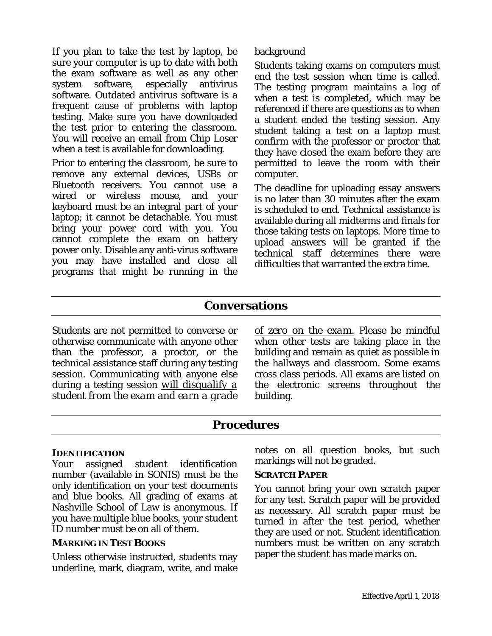If you plan to take the test by laptop, be sure your computer is up to date with both the exam software as well as any other<br>system software, especially antivirus system software, especially antivirus software. Outdated antivirus software is a frequent cause of problems with laptop testing. Make sure you have downloaded the test prior to entering the classroom. You will receive an email from Chip Loser when a test is available for downloading.

Prior to entering the classroom, be sure to remove any external devices, USBs or Bluetooth receivers. You cannot use a wired or wireless mouse, and your keyboard must be an integral part of your laptop; it cannot be detachable. You must bring your power cord with you. You cannot complete the exam on battery power only. Disable any anti-virus software you may have installed and close all programs that might be running in the

### background

Students taking exams on computers must end the test session when time is called. The testing program maintains a log of when a test is completed, which may be referenced if there are questions as to when a student ended the testing session. Any student taking a test on a laptop must confirm with the professor or proctor that they have closed the exam before they are permitted to leave the room with their computer.

The deadline for uploading essay answers is no later than 30 minutes after the exam is scheduled to end. Technical assistance is available during all midterms and finals for those taking tests on laptops. More time to upload answers will be granted if the technical staff determines there were difficulties that warranted the extra time.

## **Conversations**

Students are not permitted to converse or otherwise communicate with anyone other than the professor, a proctor, or the technical assistance staff during any testing session. Communicating with anyone else during a testing session *will disqualify a student from the exam and earn a grade*  *of zero on the exam.* Please be mindful when other tests are taking place in the building and remain as quiet as possible in the hallways and classroom. Some exams cross class periods. All exams are listed on the electronic screens throughout the building.

### **Procedures**

### *IDENTIFICATION*

Your assigned student identification number (available in SONIS) must be the only identification on your test documents and blue books. All grading of exams at Nashville School of Law is anonymous. If you have multiple blue books, your student ID number must be on all of them.

### *MARKING IN TEST BOOKS*

Unless otherwise instructed, students may underline, mark, diagram, write, and make notes on all question books, but such markings will not be graded.

### *SCRATCH PAPER*

You cannot bring your own scratch paper for any test. Scratch paper will be provided as necessary. All scratch paper must be turned in after the test period, whether they are used or not. Student identification numbers must be written on any scratch paper the student has made marks on.